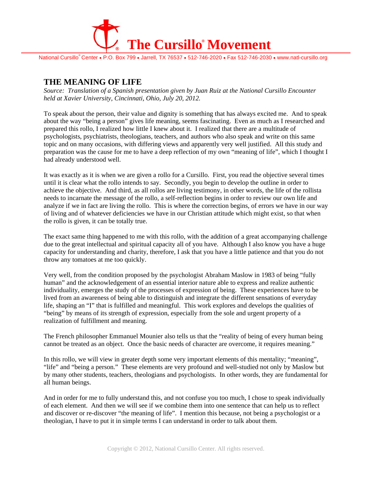

National Cursillo<sup>®</sup> Center • P.O. Box 799 • Jarrell, TX 76537 • 512-746-2020 • Fax 512-746-2030 • www.natl-cursillo.org

# **THE MEANING OF LIFE**

*Source: Translation of a Spanish presentation given by Juan Ruiz at the National Cursillo Encounter held at Xavier University, Cincinnati, Ohio, July 20, 2012.* 

To speak about the person, their value and dignity is something that has always excited me. And to speak about the way "being a person" gives life meaning, seems fascinating. Even as much as I researched and prepared this rollo, I realized how little I knew about it. I realized that there are a multitude of psychologists, psychiatrists, theologians, teachers, and authors who also speak and write on this same topic and on many occasions, with differing views and apparently very well justified. All this study and preparation was the cause for me to have a deep reflection of my own "meaning of life", which I thought I had already understood well.

It was exactly as it is when we are given a rollo for a Cursillo. First, you read the objective several times until it is clear what the rollo intends to say. Secondly, you begin to develop the outline in order to achieve the objective. And third, as all rollos are living testimony, in other words, the life of the rollista needs to incarnate the message of the rollo, a self-reflection begins in order to review our own life and analyze if we in fact are living the rollo. This is where the correction begins, of errors we have in our way of living and of whatever deficiencies we have in our Christian attitude which might exist, so that when the rollo is given, it can be totally true.

The exact same thing happened to me with this rollo, with the addition of a great accompanying challenge due to the great intellectual and spiritual capacity all of you have. Although I also know you have a huge capacity for understanding and charity, therefore, I ask that you have a little patience and that you do not throw any tomatoes at me too quickly.

Very well, from the condition proposed by the psychologist Abraham Maslow in 1983 of being "fully human" and the acknowledgement of an essential interior nature able to express and realize authentic individuality, emerges the study of the processes of expression of being. These experiences have to be lived from an awareness of being able to distinguish and integrate the different sensations of everyday life, shaping an "I" that is fulfilled and meaningful. This work explores and develops the qualities of "being" by means of its strength of expression, especially from the sole and urgent property of a realization of fulfillment and meaning.

The French philosopher Emmanuel Mounier also tells us that the "reality of being of every human being cannot be treated as an object. Once the basic needs of character are overcome, it requires meaning."

In this rollo, we will view in greater depth some very important elements of this mentality; "meaning", "life" and "being a person." These elements are very profound and well-studied not only by Maslow but by many other students, teachers, theologians and psychologists. In other words, they are fundamental for all human beings.

And in order for me to fully understand this, and not confuse you too much, I chose to speak individually of each element. And then we will see if we combine them into one sentence that can help us to reflect and discover or re-discover "the meaning of life". I mention this because, not being a psychologist or a theologian, I have to put it in simple terms I can understand in order to talk about them.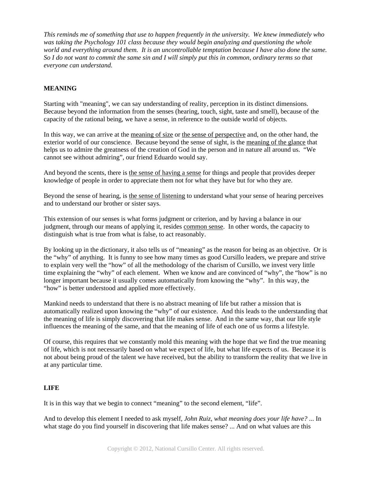*This reminds me of something that use to happen frequently in the university. We knew immediately who was taking the Psychology 101 class because they would begin analyzing and questioning the whole world and everything around them. It is an uncontrollable temptation because I have also done the same. So I do not want to commit the same sin and I will simply put this in common, ordinary terms so that everyone can understand.* 

## **MEANING**

Starting with "meaning", we can say understanding of reality, perception in its distinct dimensions. Because beyond the information from the senses (hearing, touch, sight, taste and smell), because of the capacity of the rational being, we have a sense, in reference to the outside world of objects.

In this way, we can arrive at the meaning of size or the sense of perspective and, on the other hand, the exterior world of our conscience. Because beyond the sense of sight, is the meaning of the glance that helps us to admire the greatness of the creation of God in the person and in nature all around us. "We cannot see without admiring", our friend Eduardo would say.

And beyond the scents, there is the sense of having a sense for things and people that provides deeper knowledge of people in order to appreciate them not for what they have but for who they are.

Beyond the sense of hearing, is the sense of listening to understand what your sense of hearing perceives and to understand our brother or sister says.

This extension of our senses is what forms judgment or criterion, and by having a balance in our judgment, through our means of applying it, resides common sense. In other words, the capacity to distinguish what is true from what is false, to act reasonably.

By looking up in the dictionary, it also tells us of "meaning" as the reason for being as an objective. Or is the "why" of anything. It is funny to see how many times as good Cursillo leaders, we prepare and strive to explain very well the "how" of all the methodology of the charism of Cursillo, we invest very little time explaining the "why" of each element. When we know and are convinced of "why", the "how" is no longer important because it usually comes automatically from knowing the "why". In this way, the "how" is better understood and applied more effectively.

Mankind needs to understand that there is no abstract meaning of life but rather a mission that is automatically realized upon knowing the "why" of our existence. And this leads to the understanding that the meaning of life is simply discovering that life makes sense. And in the same way, that our life style influences the meaning of the same, and that the meaning of life of each one of us forms a lifestyle.

Of course, this requires that we constantly mold this meaning with the hope that we find the true meaning of life, which is not necessarily based on what we expect of life, but what life expects of us. Because it is not about being proud of the talent we have received, but the ability to transform the reality that we live in at any particular time.

#### **LIFE**

It is in this way that we begin to connect "meaning" to the second element, "life".

And to develop this element I needed to ask myself, *John Ruiz, what meaning does your life have?* ... In what stage do you find yourself in discovering that life makes sense? ... And on what values are this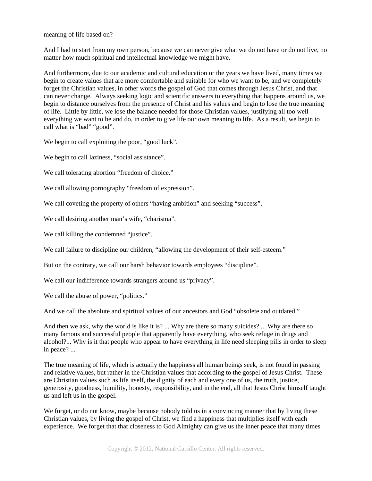meaning of life based on?

And I had to start from my own person, because we can never give what we do not have or do not live, no matter how much spiritual and intellectual knowledge we might have.

And furthermore, due to our academic and cultural education or the years we have lived, many times we begin to create values that are more comfortable and suitable for who we want to be, and we completely forget the Christian values, in other words the gospel of God that comes through Jesus Christ, and that can never change. Always seeking logic and scientific answers to everything that happens around us, we begin to distance ourselves from the presence of Christ and his values and begin to lose the true meaning of life. Little by little, we lose the balance needed for those Christian values, justifying all too well everything we want to be and do, in order to give life our own meaning to life. As a result, we begin to call what is "bad" "good".

We begin to call exploiting the poor, "good luck".

We begin to call laziness, "social assistance".

We call tolerating abortion "freedom of choice."

We call allowing pornography "freedom of expression".

We call coveting the property of others "having ambition" and seeking "success".

We call desiring another man's wife, "charisma".

We call killing the condemned "justice".

We call failure to discipline our children, "allowing the development of their self-esteem."

But on the contrary, we call our harsh behavior towards employees "discipline".

We call our indifference towards strangers around us "privacy".

We call the abuse of power, "politics."

And we call the absolute and spiritual values of our ancestors and God "obsolete and outdated."

And then we ask, why the world is like it is? ... Why are there so many suicides? ... Why are there so many famous and successful people that apparently have everything, who seek refuge in drugs and alcohol?... Why is it that people who appear to have everything in life need sleeping pills in order to sleep in peace? ...

The true meaning of life, which is actually the happiness all human beings seek, is not found in passing and relative values, but rather in the Christian values that according to the gospel of Jesus Christ. These are Christian values such as life itself, the dignity of each and every one of us, the truth, justice, generosity, goodness, humility, honesty, responsibility, and in the end, all that Jesus Christ himself taught us and left us in the gospel.

We forget, or do not know, maybe because nobody told us in a convincing manner that by living these Christian values, by living the gospel of Christ, we find a happiness that multiplies itself with each experience. We forget that that closeness to God Almighty can give us the inner peace that many times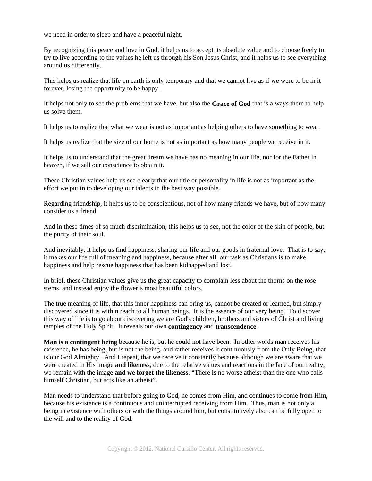we need in order to sleep and have a peaceful night.

By recognizing this peace and love in God, it helps us to accept its absolute value and to choose freely to try to live according to the values he left us through his Son Jesus Christ, and it helps us to see everything around us differently.

This helps us realize that life on earth is only temporary and that we cannot live as if we were to be in it forever, losing the opportunity to be happy.

It helps not only to see the problems that we have, but also the **Grace of God** that is always there to help us solve them.

It helps us to realize that what we wear is not as important as helping others to have something to wear.

It helps us realize that the size of our home is not as important as how many people we receive in it.

It helps us to understand that the great dream we have has no meaning in our life, nor for the Father in heaven, if we sell our conscience to obtain it.

These Christian values help us see clearly that our title or personality in life is not as important as the effort we put in to developing our talents in the best way possible.

Regarding friendship, it helps us to be conscientious, not of how many friends we have, but of how many consider us a friend.

And in these times of so much discrimination, this helps us to see, not the color of the skin of people, but the purity of their soul.

And inevitably, it helps us find happiness, sharing our life and our goods in fraternal love. That is to say, it makes our life full of meaning and happiness, because after all, our task as Christians is to make happiness and help rescue happiness that has been kidnapped and lost.

In brief, these Christian values give us the great capacity to complain less about the thorns on the rose stems, and instead enjoy the flower's most beautiful colors.

The true meaning of life, that this inner happiness can bring us, cannot be created or learned, but simply discovered since it is within reach to all human beings. It is the essence of our very being. To discover this way of life is to go about discovering we are God's children, brothers and sisters of Christ and living temples of the Holy Spirit. It reveals our own **contingency** and **transcendence**.

**Man is a contingent being** because he is, but he could not have been. In other words man receives his existence, he has being, but is not the being, and rather receives it continuously from the Only Being, that is our God Almighty. And I repeat, that we receive it constantly because although we are aware that we were created in His image **and likeness**, due to the relative values and reactions in the face of our reality, we remain with the image **and we forget the likeness**. "There is no worse atheist than the one who calls himself Christian, but acts like an atheist".

Man needs to understand that before going to God, he comes from Him, and continues to come from Him, because his existence is a continuous and uninterrupted receiving from Him. Thus, man is not only a being in existence with others or with the things around him, but constitutively also can be fully open to the will and to the reality of God.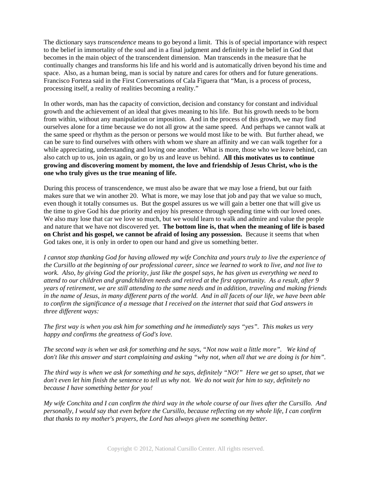The dictionary says *transcendence* means to go beyond a limit. This is of special importance with respect to the belief in immortality of the soul and in a final judgment and definitely in the belief in God that becomes in the main object of the transcendent dimension. Man transcends in the measure that he continually changes and transforms his life and his world and is automatically driven beyond his time and space. Also, as a human being, man is social by nature and cares for others and for future generations. Francisco Forteza said in the First Conversations of Cala Figuera that "Man, is a process of process, processing itself, a reality of realities becoming a reality."

In other words, man has the capacity of conviction, decision and constancy for constant and individual growth and the achievement of an ideal that gives meaning to his life. But his growth needs to be born from within, without any manipulation or imposition. And in the process of this growth, we may find ourselves alone for a time because we do not all grow at the same speed. And perhaps we cannot walk at the same speed or rhythm as the person or persons we would most like to be with. But further ahead, we can be sure to find ourselves with others with whom we share an affinity and we can walk together for a while appreciating, understanding and loving one another. What is more, those who we leave behind, can also catch up to us, join us again, or go by us and leave us behind. **All this motivates us to continue growing and discovering moment by moment, the love and friendship of Jesus Christ, who is the one who truly gives us the true meaning of life.** 

During this process of transcendence, we must also be aware that we may lose a friend, but our faith makes sure that we win another 20. What is more, we may lose that job and pay that we value so much, even though it totally consumes us. But the gospel assures us we will gain a better one that will give us the time to give God his due priority and enjoy his presence through spending time with our loved ones. We also may lose that car we love so much, but we would learn to walk and admire and value the people and nature that we have not discovered yet. **The bottom line is, that when the meaning of life is based on Christ and his gospel, we cannot be afraid of losing any possession.** Because it seems that when God takes one, it is only in order to open our hand and give us something better.

*I cannot stop thanking God for having allowed my wife Conchita and yours truly to live the experience of the Cursillo at the beginning of our professional career, since we learned to work to live, and not live to work. Also, by giving God the priority, just like the gospel says, he has given us everything we need to attend to our children and grandchildren needs and retired at the first opportunity. As a result, after 9 years of retirement, we are still attending to the same needs and in addition, traveling and making friends in the name of Jesus, in many different parts of the world. And in all facets of our life, we have been able to confirm the significance of a message that I received on the internet that said that God answers in three different ways:*

*The first way is when you ask him for something and he immediately says "yes". This makes us very happy and confirms the greatness of God's love.* 

*The second way is when we ask for something and he says, "Not now wait a little more". We kind of don't like this answer and start complaining and asking "why not, when all that we are doing is for him".* 

*The third way is when we ask for something and he says, definitely "NO!" Here we get so upset, that we don't even let him finish the sentence to tell us why not. We do not wait for him to say, definitely no because I have something better for you!* 

*My wife Conchita and I can confirm the third way in the whole course of our lives after the Cursillo. And personally, I would say that even before the Cursillo, because reflecting on my whole life, I can confirm that thanks to my mother's prayers, the Lord has always given me something better*.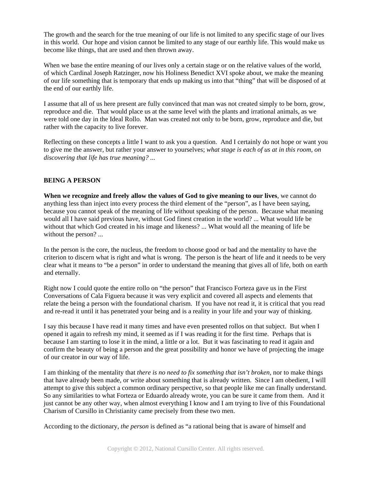The growth and the search for the true meaning of our life is not limited to any specific stage of our lives in this world. Our hope and vision cannot be limited to any stage of our earthly life. This would make us become like things, that are used and then thrown away.

When we base the entire meaning of our lives only a certain stage or on the relative values of the world, of which Cardinal Joseph Ratzinger, now his Holiness Benedict XVI spoke about, we make the meaning of our life something that is temporary that ends up making us into that "thing" that will be disposed of at the end of our earthly life.

I assume that all of us here present are fully convinced that man was not created simply to be born, grow, reproduce and die. That would place us at the same level with the plants and irrational animals, as we were told one day in the Ideal Rollo. Man was created not only to be born, grow, reproduce and die, but rather with the capacity to live forever.

Reflecting on these concepts a little I want to ask you a question. And I certainly do not hope or want you to give me the answer, but rather your answer to yourselves; *what stage is each of us at in this room, on discovering that life has true meaning? ...* 

# **BEING A PERSON**

**When we recognize and freely allow the values of God to give meaning to our lives**, we cannot do anything less than inject into every process the third element of the "person", as I have been saying, because you cannot speak of the meaning of life without speaking of the person. Because what meaning would all I have said previous have, without God finest creation in the world? ... What would life be without that which God created in his image and likeness? ... What would all the meaning of life be without the person? ...

In the person is the core, the nucleus, the freedom to choose good or bad and the mentality to have the criterion to discern what is right and what is wrong. The person is the heart of life and it needs to be very clear what it means to "be a person" in order to understand the meaning that gives all of life, both on earth and eternally.

Right now I could quote the entire rollo on "the person" that Francisco Forteza gave us in the First Conversations of Cala Figuera because it was very explicit and covered all aspects and elements that relate the being a person with the foundational charism. If you have not read it, it is critical that you read and re-read it until it has penetrated your being and is a reality in your life and your way of thinking.

I say this because I have read it many times and have even presented rollos on that subject. But when I opened it again to refresh my mind, it seemed as if I was reading it for the first time. Perhaps that is because I am starting to lose it in the mind, a little or a lot. But it was fascinating to read it again and confirm the beauty of being a person and the great possibility and honor we have of projecting the image of our creator in our way of life.

I am thinking of the mentality that *there is no need to fix something that isn't broken,* nor to make things that have already been made, or write about something that is already written. Since I am obedient, I will attempt to give this subject a common ordinary perspective, so that people like me can finally understand. So any similarities to what Forteza or Eduardo already wrote, you can be sure it came from them. And it just cannot be any other way, when almost everything I know and I am trying to live of this Foundational Charism of Cursillo in Christianity came precisely from these two men.

According to the dictionary, *the person* is defined as "a rational being that is aware of himself and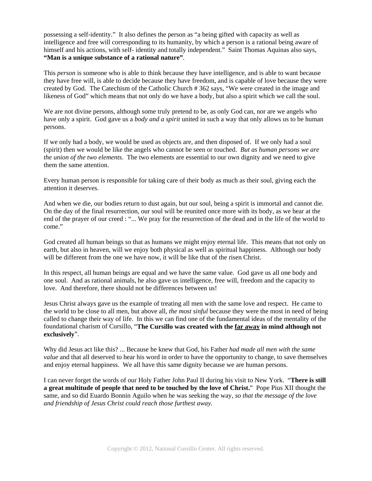possessing a self-identity." It also defines the person as "a being gifted with capacity as well as intelligence and free will corresponding to its humanity, by which a person is a rational being aware of himself and his actions, with self- identity and totally independent." Saint Thomas Aquinas also says, **"Man is a unique substance of a rational nature"**.

This *person* is someone who is able to think because they have intelligence, and is able to want because they have free will, is able to decide because they have freedom, and is capable of love because they were created by God. The Catechism of the Catholic Church # 362 says, "We were created in the image and likeness of God" which means that not only do we have a body, but also a spirit which we call the soul.

We are not divine persons, although some truly pretend to be, as only God can, nor are we angels who have only a spirit. God gave us a *body and a spirit* united in such a way that only allows us to be human persons.

If we only had a body, we would be used as objects are, and then disposed of. If we only had a soul (spirit) then we would be like the angels who cannot be seen or touched. *But as human persons we are the union of the two elements.* The two elements are essential to our own dignity and we need to give them the same attention.

Every human person is responsible for taking care of their body as much as their soul, giving each the attention it deserves.

And when we die, our bodies return to dust again, but our soul, being a spirit is immortal and cannot die. On the day of the final resurrection, our soul will be reunited once more with its body, as we hear at the end of the prayer of our creed : "... We pray for the resurrection of the dead and in the life of the world to come."

God created all human beings so that as humans we might enjoy eternal life. This means that not only on earth, but also in heaven, will we enjoy both physical as well as spiritual happiness. Although our body will be different from the one we have now, it will be like that of the risen Christ.

In this respect, all human beings are equal and we have the same value. God gave us all one body and one soul. And as rational animals, he also gave us intelligence, free will, freedom and the capacity to love. And therefore, there should not be differences between us!

Jesus Christ always gave us the example of treating all men with the same love and respect. He came to the world to be close to all men, but above all, *the most sinful* because they were the most in need of being called to change their way of life. In this we can find one of the fundamental ideas of the mentality of the foundational charism of Cursillo, "**The Cursillo was created with the far away in mind although not exclusively**".

Why did Jesus act like this? ... Because he knew that God, his Father *had made all men with the same value* and that all deserved to hear his word in order to have the opportunity to change, to save themselves and enjoy eternal happiness. We all have this same dignity because we are human persons.

I can never forget the words of our Holy Father John Paul II during his visit to New York. "**There is still a great multitude of people that need to be touched by the love of Christ.**" Pope Pius XII thought the same, and so did Euardo Bonnin Aguilo when he was seeking the way, *so that the message of the love and friendship of Jesus Christ could reach those furthest away.*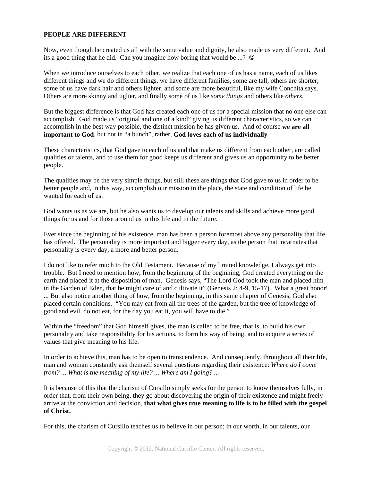### **PEOPLE ARE DIFFERENT**

Now, even though he created us all with the same value and dignity, he also made us very different. And its a good thing that he did. Can you imagine how boring that would be ...?

When we introduce ourselves to each other, we realize that each one of us has a name, each of us likes different things and we do different things, we have different families, some are tall, others are shorter; some of us have dark hair and others lighter, and some are more beautiful, like my wife Conchita says. Others are more skinny and uglier, and finally some of us like *some things* and others like *others*.

But the biggest difference is that God has created each one of us for a special mission that no one else can accomplish. God made us "original and one of a kind" giving us different characteristics, so we can accomplish in the best way possible, the distinct mission he has given us. And of course **we are all important to God**, but not in "a bunch", rather, **God loves each of us individually**.

These characteristics, that God gave to each of us and that make us different from each other, are called qualities or talents, and to use them for good keeps us different and gives us an opportunity to be better people.

The qualities may be the very simple things, but still these are things that God gave to us in order to be better people and, in this way, accomplish our mission in the place, the state and condition of life he wanted for each of us.

God wants us as we are, but he also wants us to develop our talents and skills and achieve more good things for us and for those around us in this life and in the future.

Ever since the beginning of his existence, man has been a person foremost above any personality that life has offered. The personality is more important and bigger every day, as the person that incarnates that personality is every day, a more and better person.

I do not like to refer much to the Old Testament. Because of my limited knowledge, I always get into trouble. But I need to mention how, from the beginning of the beginning, God created everything on the earth and placed it at the disposition of man. Genesis says, "The Lord God took the man and placed him in the Garden of Eden, that he might care of and cultivate it" (Genesis 2: 4-9, 15-17). What a great honor! ... But also notice another thing of how, from the beginning, in this same chapter of Genesis, God also placed certain conditions. "You may eat from all the trees of the garden, but the tree of knowledge of good and evil, do not eat, for the day you eat it, you will have to die."

Within the "freedom" that God himself gives, the man is called to be free, that is, to build his own personality and take responsibility for his actions, to form his way of being, and to acquire a series of values that give meaning to his life.

In order to achieve this, man has to be open to transcendence. And consequently, throughout all their life, man and woman constantly ask themself several questions regarding their existence: *Where do I come from? ... What is the meaning of my life? ... Where am I going? ...* 

It is because of this that the charism of Cursillo simply seeks for the person to know themselves fully, in order that, from their own being, they go about discovering the origin of their existence and might freely arrive at the conviction and decision, **that what gives true meaning to life is to be filled with the gospel of Christ.** 

For this, the charism of Cursillo teaches us to believe in our person; in our worth, in our talents, our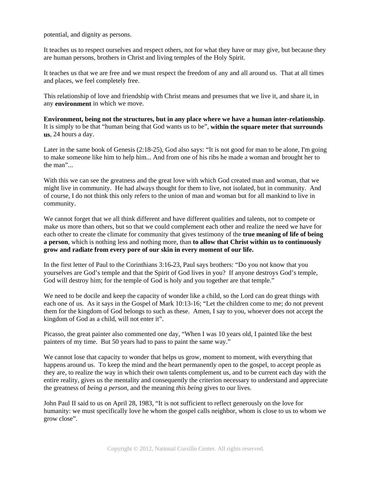potential, and dignity as persons.

It teaches us to respect ourselves and respect others, not for what they have or may give, but because they are human persons, brothers in Christ and living temples of the Holy Spirit.

It teaches us that we are free and we must respect the freedom of any and all around us. That at all times and places, we feel completely free.

This relationship of love and friendship with Christ means and presumes that we live it, and share it, in any **environment** in which we move.

**Environment, being not the structures, but in any place where we have a human inter-relationship**. It is simply to be that "human being that God wants us to be", **within the square meter that surrounds us**, 24 hours a day.

Later in the same book of Genesis (2:18-25), God also says: "It is not good for man to be alone, I'm going to make someone like him to help him... And from one of his ribs he made a woman and brought her to the man".

With this we can see the greatness and the great love with which God created man and woman, that we might live in community. He had always thought for them to live, not isolated, but in community. And of course, I do not think this only refers to the union of man and woman but for all mankind to live in community.

We cannot forget that we all think different and have different qualities and talents, not to compete or make us more than others, but so that we could complement each other and realize the need we have for each other to create the climate for community that gives testimony of the **true meaning of life of being a person**, which is nothing less and nothing more, than **to allow that Christ within us to continuously grow and radiate from every pore of our skin in every moment of our life.**

In the first letter of Paul to the Corinthians 3:16**-**23, Paul says brothers: "Do you not know that you yourselves are God's temple and that the Spirit of God lives in you? If anyone destroys God's temple, God will destroy him; for the temple of God is holy and you together are that temple."

We need to be docile and keep the capacity of wonder like a child, so the Lord can do great things with each one of us. As it says in the Gospel of Mark 10:13-16; "Let the children come to me; do not prevent them for the kingdom of God belongs to such as these. Amen, I say to you, whoever does not accept the kingdom of God as a child, will not enter it".

Picasso, the great painter also commented one day, "When I was 10 years old, I painted like the best painters of my time. But 50 years had to pass to paint the same way."

We cannot lose that capacity to wonder that helps us grow, moment to moment, with everything that happens around us. To keep the mind and the heart permanently open to the gospel, to accept people as they are, to realize the way in which their own talents complement us, and to be current each day with the entire reality, gives us the mentality and consequently the criterion necessary to understand and appreciate the greatness of *being a person*, and the meaning *this being* gives to our lives.

John Paul II said to us on April 28, 1983, "It is not sufficient to reflect generously on the love for humanity: we must specifically love he whom the gospel calls neighbor, whom is close to us to whom we grow close".